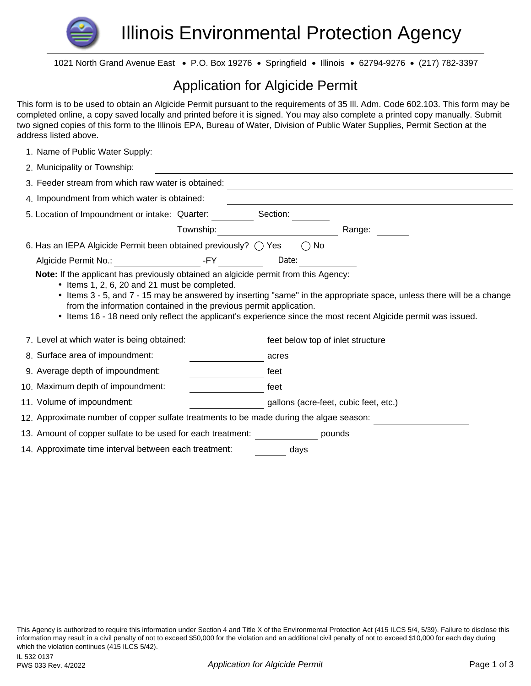

1021 North Grand Avenue East · P.O. Box 19276 · Springfield · Illinois · 62794-9276 · (217) 782-3397

## Application for Algicide Permit

This form is to be used to obtain an Algicide Permit pursuant to the requirements of 35 Ill. Adm. Code 602.103. This form may be completed online, a copy saved locally and printed before it is signed. You may also complete a printed copy manually. Submit two signed copies of this form to the Illinois EPA, Bureau of Water, Division of Public Water Supplies, Permit Section at the address listed above.

| 1. Name of Public Water Supply:                                                                                  |           |                                       |                                                                                                              |
|------------------------------------------------------------------------------------------------------------------|-----------|---------------------------------------|--------------------------------------------------------------------------------------------------------------|
| 2. Municipality or Township:                                                                                     |           |                                       |                                                                                                              |
| 3. Feeder stream from which raw water is obtained:                                                               |           |                                       |                                                                                                              |
| 4. Impoundment from which water is obtained:                                                                     |           |                                       |                                                                                                              |
| 5. Location of Impoundment or intake: Quarter:                                                                   |           | Section:                              |                                                                                                              |
|                                                                                                                  | Township: |                                       | Range:                                                                                                       |
| 6. Has an IEPA Algicide Permit been obtained previously? $\bigcirc$ Yes                                          |           | $\bigcirc$ No                         |                                                                                                              |
| Algicide Permit No.:                                                                                             | -FY       | Date:                                 |                                                                                                              |
| from the information contained in the previous permit application.<br>7. Level at which water is being obtained: |           | feet below top of inlet structure     | Items 16 - 18 need only reflect the applicant's experience since the most recent Algicide permit was issued. |
| 8. Surface area of impoundment:                                                                                  |           | acres                                 |                                                                                                              |
| 9. Average depth of impoundment:                                                                                 |           | feet                                  |                                                                                                              |
| 10. Maximum depth of impoundment:                                                                                |           | feet                                  |                                                                                                              |
| 11. Volume of impoundment:                                                                                       |           | gallons (acre-feet, cubic feet, etc.) |                                                                                                              |
| 12. Approximate number of copper sulfate treatments to be made during the algae season:                          |           |                                       |                                                                                                              |
| 13. Amount of copper sulfate to be used for each treatment:                                                      |           |                                       | pounds                                                                                                       |
| 14. Approximate time interval between each treatment:                                                            |           | days                                  |                                                                                                              |

This Agency is authorized to require this information under Section 4 and Title X of the Environmental Protection Act (415 ILCS 5/4, 5/39). Failure to disclose this information may result in a civil penalty of not to exceed \$50,000 for the violation and an additional civil penalty of not to exceed \$10,000 for each day during which the violation continues (415 ILCS 5/42).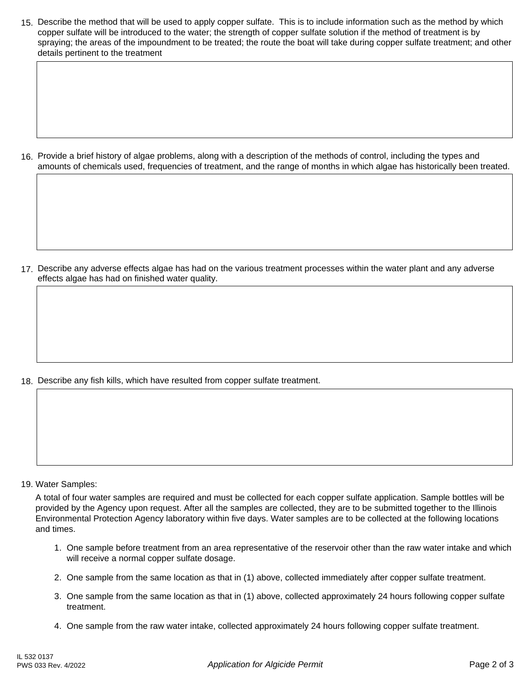15. Describe the method that will be used to apply copper sulfate. This is to include information such as the method by which copper sulfate will be introduced to the water; the strength of copper sulfate solution if the method of treatment is by spraying; the areas of the impoundment to be treated; the route the boat will take during copper sulfate treatment; and other details pertinent to the treatment

16. Provide a brief history of algae problems, along with a description of the methods of control, including the types and amounts of chemicals used, frequencies of treatment, and the range of months in which algae has historically been treated.

17. Describe any adverse effects algae has had on the various treatment processes within the water plant and any adverse effects algae has had on finished water quality.

18. Describe any fish kills, which have resulted from copper sulfate treatment.

19. Water Samples:

A total of four water samples are required and must be collected for each copper sulfate application. Sample bottles will be provided by the Agency upon request. After all the samples are collected, they are to be submitted together to the Illinois Environmental Protection Agency laboratory within five days. Water samples are to be collected at the following locations and times.

- 1. One sample before treatment from an area representative of the reservoir other than the raw water intake and which will receive a normal copper sulfate dosage.
- 2. One sample from the same location as that in (1) above, collected immediately after copper sulfate treatment.
- 3. One sample from the same location as that in (1) above, collected approximately 24 hours following copper sulfate treatment.
- 4. One sample from the raw water intake, collected approximately 24 hours following copper sulfate treatment.